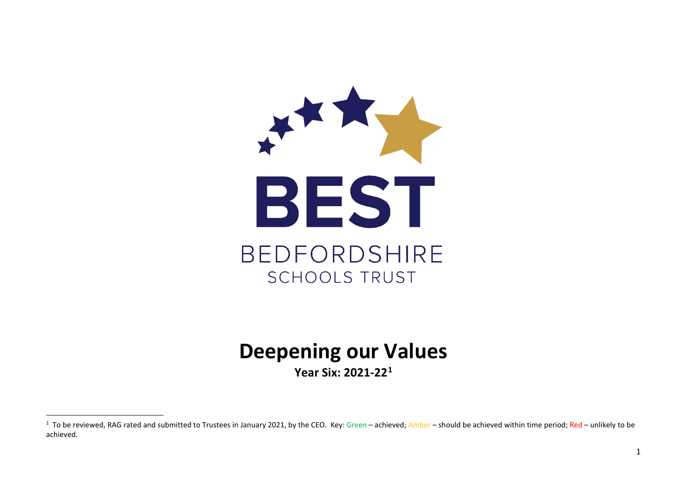<span id="page-0-0"></span>

# **Deepening our Values**

**Year Six: 2021-22[1](#page-0-0)**

 $\overline{1}$  $1$  To be reviewed, RAG rated and submitted to Trustees in January 2021, by the CEO. Key: Green – achieved; Amber – should be achieved within time period; Red – unlikely to be achieved.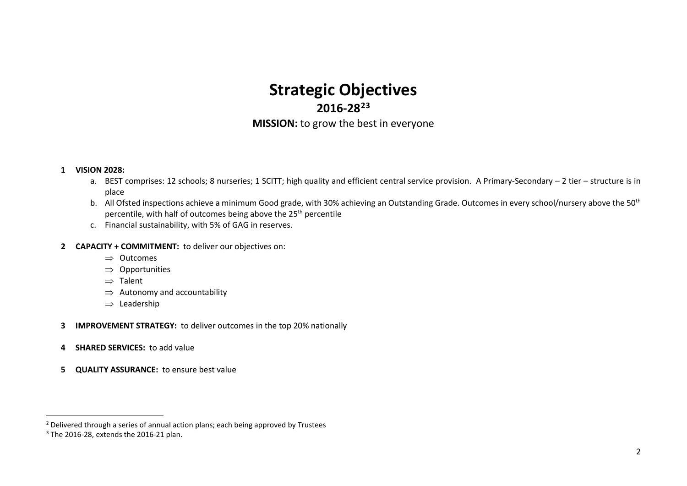# <span id="page-1-1"></span><span id="page-1-0"></span>**Strategic Objectives 2016-28[2](#page-1-0)[3](#page-1-1) MISSION:** to grow the best in everyone

#### **1 VISION 2028:**

- a. BEST comprises: 12 schools; 8 nurseries; 1 SCITT; high quality and efficient central service provision. A Primary-Secondary 2 tier structure is in place
- b. All Ofsted inspections achieve a minimum Good grade, with 30% achieving an Outstanding Grade. Outcomes in every school/nursery above the 50<sup>th</sup> percentile, with half of outcomes being above the 25<sup>th</sup> percentile
- c. Financial sustainability, with 5% of GAG in reserves.

#### **2 CAPACITY + COMMITMENT:** to deliver our objectives on:

- ⇒ Outcomes
- ⇒ Opportunities
- ⇒ Talent
- $\Rightarrow$  Autonomy and accountability
- ⇒ Leadership
- **3 IMPROVEMENT STRATEGY:** to deliver outcomes in the top 20% nationally
- **4 SHARED SERVICES:** to add value
- **5 QUALITY ASSURANCE:** to ensure best value

<sup>&</sup>lt;sup>2</sup> Delivered through a series of annual action plans; each being approved by Trustees  $3$  The 2016-28, extends the 2016-21 plan.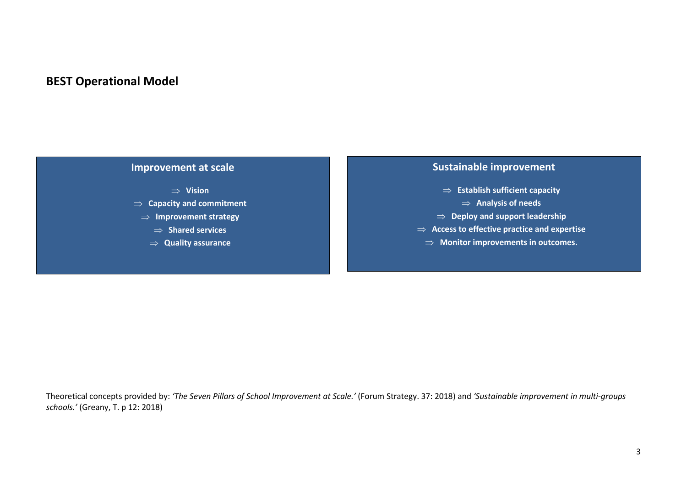## **BEST Operational Model**



### **Sustainable improvement**

- ⇒ **Establish sufficient capacity**
	- ⇒ **Analysis of needs**
- ⇒ **Deploy and support leadership**
- ⇒ **Access to effective practice and expertise**
	- ⇒ **Monitor improvements in outcomes.**

Theoretical concepts provided by: *'The Seven Pillars of School Improvement at Scale.'* (Forum Strategy. 37: 2018) and *'Sustainable improvement in multi-groups schools.'* (Greany, T. p 12: 2018)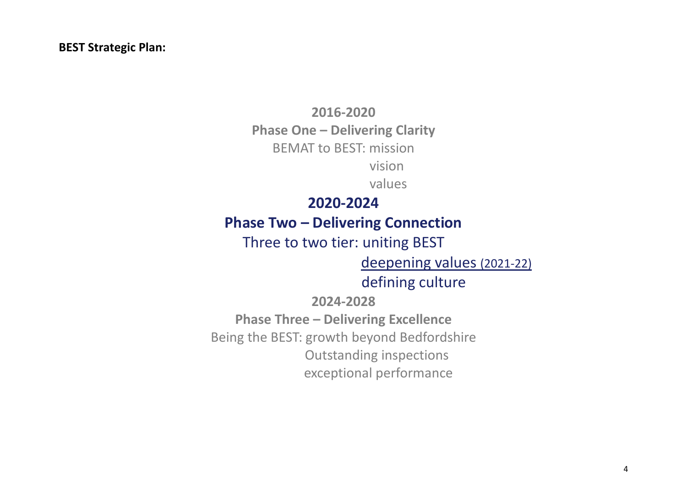### **BEST Strategic Plan:**

**2016-2020 Phase One – Delivering Clarity** BEMAT to BEST: mission vision

values

# **2020-2024**

# **Phase Two – Delivering Connection**

# Three to two tier: uniting BEST

deepening values (2021-22)

# defining culture

# **2024-2028**

**Phase Three – Delivering Excellence** Being the BEST: growth beyond Bedfordshire Outstanding inspections exceptional performance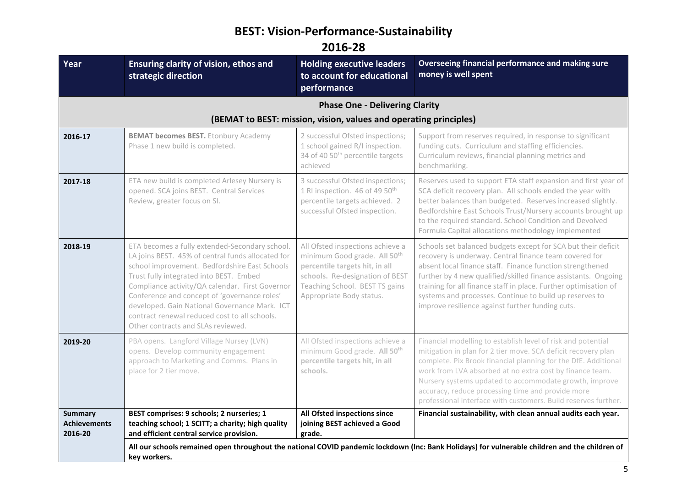# **BEST: Vision-Performance-Sustainability**

**2016-28**

| Year                                             | Ensuring clarity of vision, ethos and<br>strategic direction                                                                                                                                                                                                                                                                                                                                                                               | <b>Holding executive leaders</b><br>to account for educational<br>performance                                                                                                                                   | Overseeing financial performance and making sure<br>money is well spent                                                                                                                                                                                                                                                                                                                                                                      |
|--------------------------------------------------|--------------------------------------------------------------------------------------------------------------------------------------------------------------------------------------------------------------------------------------------------------------------------------------------------------------------------------------------------------------------------------------------------------------------------------------------|-----------------------------------------------------------------------------------------------------------------------------------------------------------------------------------------------------------------|----------------------------------------------------------------------------------------------------------------------------------------------------------------------------------------------------------------------------------------------------------------------------------------------------------------------------------------------------------------------------------------------------------------------------------------------|
|                                                  |                                                                                                                                                                                                                                                                                                                                                                                                                                            | <b>Phase One - Delivering Clarity</b>                                                                                                                                                                           |                                                                                                                                                                                                                                                                                                                                                                                                                                              |
|                                                  |                                                                                                                                                                                                                                                                                                                                                                                                                                            | (BEMAT to BEST: mission, vision, values and operating principles)                                                                                                                                               |                                                                                                                                                                                                                                                                                                                                                                                                                                              |
| 2016-17                                          | <b>BEMAT becomes BEST.</b> Etonbury Academy<br>Phase 1 new build is completed.                                                                                                                                                                                                                                                                                                                                                             | 2 successful Ofsted inspections;<br>1 school gained R/I inspection.<br>34 of 40 50 <sup>th</sup> percentile targets<br>achieved                                                                                 | Support from reserves required, in response to significant<br>funding cuts. Curriculum and staffing efficiencies.<br>Curriculum reviews, financial planning metrics and<br>benchmarking.                                                                                                                                                                                                                                                     |
| 2017-18                                          | ETA new build is completed Arlesey Nursery is<br>opened. SCA joins BEST. Central Services<br>Review, greater focus on SI.                                                                                                                                                                                                                                                                                                                  | 3 successful Ofsted inspections;<br>1 RI inspection. 46 of 49 50 <sup>th</sup><br>percentile targets achieved. 2<br>successful Ofsted inspection.                                                               | Reserves used to support ETA staff expansion and first year of<br>SCA deficit recovery plan. All schools ended the year with<br>better balances than budgeted. Reserves increased slightly.<br>Bedfordshire East Schools Trust/Nursery accounts brought up<br>to the required standard. School Condition and Devolved<br>Formula Capital allocations methodology implemented                                                                 |
| 2018-19                                          | ETA becomes a fully extended-Secondary school.<br>LA joins BEST. 45% of central funds allocated for<br>school improvement. Bedfordshire East Schools<br>Trust fully integrated into BEST. Embed<br>Compliance activity/QA calendar. First Governor<br>Conference and concept of 'governance roles'<br>developed. Gain National Governance Mark. ICT<br>contract renewal reduced cost to all schools.<br>Other contracts and SLAs reviewed. | All Ofsted inspections achieve a<br>minimum Good grade. All 50 <sup>th</sup><br>percentile targets hit, in all<br>schools. Re-designation of BEST<br>Teaching School. BEST TS gains<br>Appropriate Body status. | Schools set balanced budgets except for SCA but their deficit<br>recovery is underway. Central finance team covered for<br>absent local finance staff. Finance function strengthened<br>further by 4 new qualified/skilled finance assistants. Ongoing<br>training for all finance staff in place. Further optimisation of<br>systems and processes. Continue to build up reserves to<br>improve resilience against further funding cuts.    |
| 2019-20                                          | PBA opens. Langford Village Nursey (LVN)<br>opens. Develop community engagement<br>approach to Marketing and Comms. Plans in<br>place for 2 tier move.                                                                                                                                                                                                                                                                                     | All Ofsted inspections achieve a<br>minimum Good grade. All 50 <sup>th</sup><br>percentile targets hit, in all<br>schools.                                                                                      | Financial modelling to establish level of risk and potential<br>mitigation in plan for 2 tier move. SCA deficit recovery plan<br>complete. Pix Brook financial planning for the DfE. Additional<br>work from LVA absorbed at no extra cost by finance team.<br>Nursery systems updated to accommodate growth, improve<br>accuracy, reduce processing time and provide more<br>professional interface with customers. Build reserves further. |
| <b>Summary</b><br><b>Achievements</b><br>2016-20 | BEST comprises: 9 schools; 2 nurseries; 1<br>teaching school; 1 SCITT; a charity; high quality<br>and efficient central service provision.                                                                                                                                                                                                                                                                                                 | All Ofsted inspections since<br>joining BEST achieved a Good<br>grade.                                                                                                                                          | Financial sustainability, with clean annual audits each year.                                                                                                                                                                                                                                                                                                                                                                                |
|                                                  | key workers.                                                                                                                                                                                                                                                                                                                                                                                                                               |                                                                                                                                                                                                                 | All our schools remained open throughout the national COVID pandemic lockdown (Inc: Bank Holidays) for vulnerable children and the children of                                                                                                                                                                                                                                                                                               |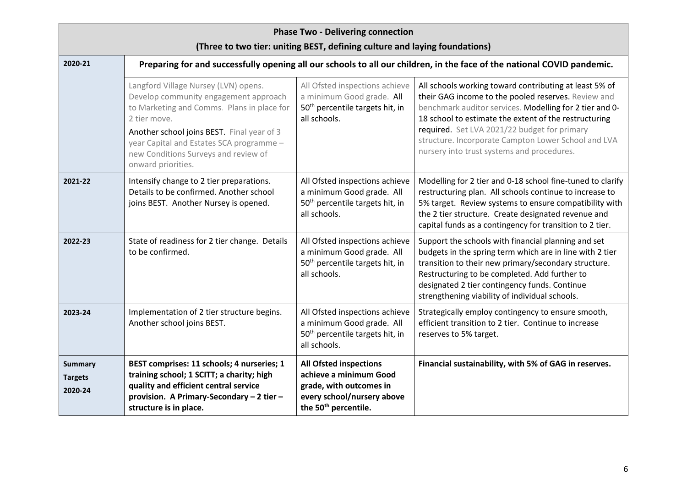| <b>Phase Two - Delivering connection</b><br>(Three to two tier: uniting BEST, defining culture and laying foundations) |                                                                                                                                                                                                         |                                                                                                                                                      |                                                                                                                                                                                                                                                                                                                             |  |
|------------------------------------------------------------------------------------------------------------------------|---------------------------------------------------------------------------------------------------------------------------------------------------------------------------------------------------------|------------------------------------------------------------------------------------------------------------------------------------------------------|-----------------------------------------------------------------------------------------------------------------------------------------------------------------------------------------------------------------------------------------------------------------------------------------------------------------------------|--|
| 2020-21                                                                                                                | Preparing for and successfully opening all our schools to all our children, in the face of the national COVID pandemic.                                                                                 |                                                                                                                                                      |                                                                                                                                                                                                                                                                                                                             |  |
|                                                                                                                        | Langford Village Nursey (LVN) opens.<br>Develop community engagement approach<br>to Marketing and Comms. Plans in place for<br>2 tier move.                                                             | All Ofsted inspections achieve<br>a minimum Good grade. All<br>50 <sup>th</sup> percentile targets hit, in<br>all schools.                           | All schools working toward contributing at least 5% of<br>their GAG income to the pooled reserves. Review and<br>benchmark auditor services. Modelling for 2 tier and 0-<br>18 school to estimate the extent of the restructuring                                                                                           |  |
|                                                                                                                        | Another school joins BEST. Final year of 3<br>year Capital and Estates SCA programme -<br>new Conditions Surveys and review of<br>onward priorities.                                                    |                                                                                                                                                      | required. Set LVA 2021/22 budget for primary<br>structure. Incorporate Campton Lower School and LVA<br>nursery into trust systems and procedures.                                                                                                                                                                           |  |
| 2021-22                                                                                                                | Intensify change to 2 tier preparations.<br>Details to be confirmed. Another school<br>joins BEST. Another Nursey is opened.                                                                            | All Ofsted inspections achieve<br>a minimum Good grade. All<br>50 <sup>th</sup> percentile targets hit, in<br>all schools.                           | Modelling for 2 tier and 0-18 school fine-tuned to clarify<br>restructuring plan. All schools continue to increase to<br>5% target. Review systems to ensure compatibility with<br>the 2 tier structure. Create designated revenue and<br>capital funds as a contingency for transition to 2 tier.                          |  |
| 2022-23                                                                                                                | State of readiness for 2 tier change. Details<br>to be confirmed.                                                                                                                                       | All Ofsted inspections achieve<br>a minimum Good grade. All<br>50 <sup>th</sup> percentile targets hit, in<br>all schools.                           | Support the schools with financial planning and set<br>budgets in the spring term which are in line with 2 tier<br>transition to their new primary/secondary structure.<br>Restructuring to be completed. Add further to<br>designated 2 tier contingency funds. Continue<br>strengthening viability of individual schools. |  |
| 2023-24                                                                                                                | Implementation of 2 tier structure begins.<br>Another school joins BEST.                                                                                                                                | All Ofsted inspections achieve<br>a minimum Good grade. All<br>50 <sup>th</sup> percentile targets hit, in<br>all schools.                           | Strategically employ contingency to ensure smooth,<br>efficient transition to 2 tier. Continue to increase<br>reserves to 5% target.                                                                                                                                                                                        |  |
| <b>Summary</b><br><b>Targets</b><br>2020-24                                                                            | BEST comprises: 11 schools; 4 nurseries; 1<br>training school; 1 SCITT; a charity; high<br>quality and efficient central service<br>provision. A Primary-Secondary - 2 tier -<br>structure is in place. | <b>All Ofsted inspections</b><br>achieve a minimum Good<br>grade, with outcomes in<br>every school/nursery above<br>the 50 <sup>th</sup> percentile. | Financial sustainability, with 5% of GAG in reserves.                                                                                                                                                                                                                                                                       |  |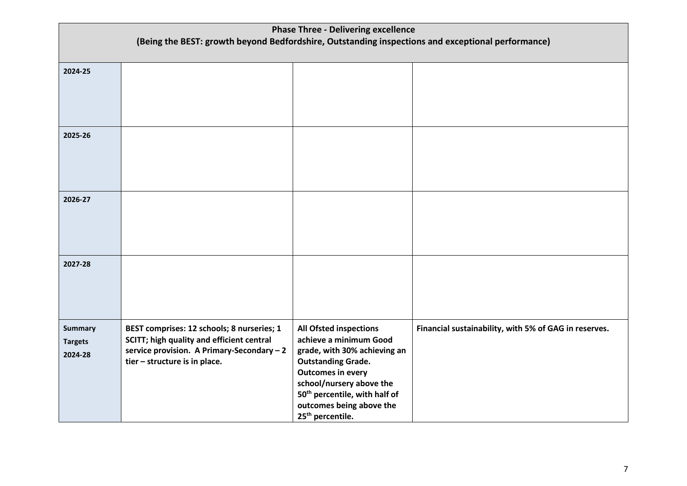| <b>Phase Three - Delivering excellence</b>                                                        |                                            |                                                          |                                                       |
|---------------------------------------------------------------------------------------------------|--------------------------------------------|----------------------------------------------------------|-------------------------------------------------------|
| (Being the BEST: growth beyond Bedfordshire, Outstanding inspections and exceptional performance) |                                            |                                                          |                                                       |
|                                                                                                   |                                            |                                                          |                                                       |
| 2024-25                                                                                           |                                            |                                                          |                                                       |
|                                                                                                   |                                            |                                                          |                                                       |
|                                                                                                   |                                            |                                                          |                                                       |
|                                                                                                   |                                            |                                                          |                                                       |
| 2025-26                                                                                           |                                            |                                                          |                                                       |
|                                                                                                   |                                            |                                                          |                                                       |
|                                                                                                   |                                            |                                                          |                                                       |
|                                                                                                   |                                            |                                                          |                                                       |
|                                                                                                   |                                            |                                                          |                                                       |
| 2026-27                                                                                           |                                            |                                                          |                                                       |
|                                                                                                   |                                            |                                                          |                                                       |
|                                                                                                   |                                            |                                                          |                                                       |
|                                                                                                   |                                            |                                                          |                                                       |
| 2027-28                                                                                           |                                            |                                                          |                                                       |
|                                                                                                   |                                            |                                                          |                                                       |
|                                                                                                   |                                            |                                                          |                                                       |
|                                                                                                   |                                            |                                                          |                                                       |
| <b>Summary</b>                                                                                    | BEST comprises: 12 schools; 8 nurseries; 1 | <b>All Ofsted inspections</b>                            | Financial sustainability, with 5% of GAG in reserves. |
| <b>Targets</b>                                                                                    | SCITT; high quality and efficient central  | achieve a minimum Good                                   |                                                       |
| 2024-28                                                                                           | service provision. A Primary-Secondary-2   | grade, with 30% achieving an                             |                                                       |
|                                                                                                   | tier - structure is in place.              | <b>Outstanding Grade.</b><br><b>Outcomes in every</b>    |                                                       |
|                                                                                                   |                                            | school/nursery above the                                 |                                                       |
|                                                                                                   |                                            | 50 <sup>th</sup> percentile, with half of                |                                                       |
|                                                                                                   |                                            | outcomes being above the<br>25 <sup>th</sup> percentile. |                                                       |
|                                                                                                   |                                            |                                                          |                                                       |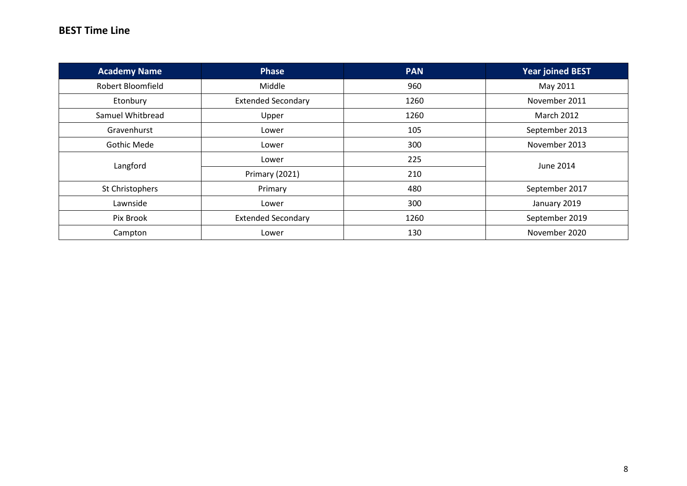### **BEST Time Line**

| <b>Academy Name</b>      | <b>Phase</b>              | <b>PAN</b> | <b>Year joined BEST</b> |  |
|--------------------------|---------------------------|------------|-------------------------|--|
| <b>Robert Bloomfield</b> | Middle                    | 960        | May 2011                |  |
| Etonbury                 | <b>Extended Secondary</b> | 1260       | November 2011           |  |
| Samuel Whitbread         | Upper                     | 1260       | <b>March 2012</b>       |  |
| Gravenhurst              | Lower                     | 105        | September 2013          |  |
| <b>Gothic Mede</b>       | Lower                     | 300        | November 2013           |  |
| Langford                 | Lower                     | 225        | June 2014               |  |
|                          | Primary (2021)            | 210        |                         |  |
| St Christophers          | Primary                   | 480        | September 2017          |  |
| Lawnside                 | Lower                     | 300        | January 2019            |  |
| Pix Brook                | <b>Extended Secondary</b> | 1260       | September 2019          |  |
| Campton                  | Lower                     | 130        | November 2020           |  |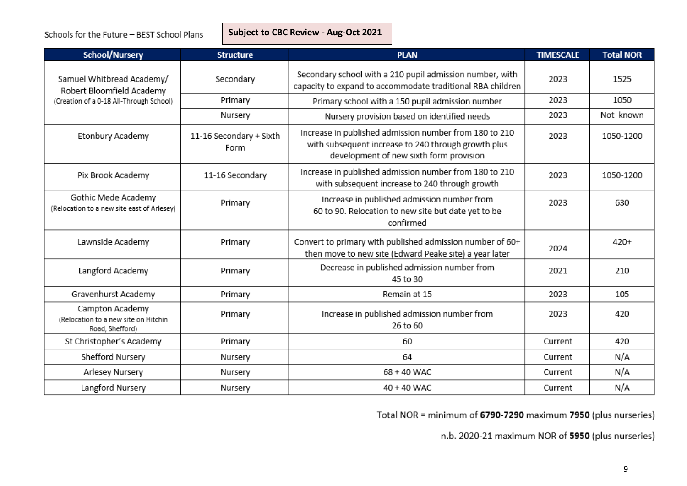**BEST Subject to CBC Review - Aug-Oct 2021**

| <b>School/Nursery</b>                                                      | <b>Structure</b>                | <b>PLAN</b>                                                                                                                                              | <b>TIMESCALE</b> | <b>Total NOR</b> |
|----------------------------------------------------------------------------|---------------------------------|----------------------------------------------------------------------------------------------------------------------------------------------------------|------------------|------------------|
| Samuel Whitbread Academy/<br>Robert Bloomfield Academy                     | Secondary                       | Secondary school with a 210 pupil admission number, with<br>capacity to expand to accommodate traditional RBA children                                   | 2023             | 1525             |
| (Creation of a 0-18 All-Through School)                                    | Primary                         | Primary school with a 150 pupil admission number                                                                                                         | 2023             | 1050             |
|                                                                            | Nursery                         | Nursery provision based on identified needs                                                                                                              | 2023             | Not known        |
| Etonbury Academy                                                           | 11-16 Secondary + Sixth<br>Form | Increase in published admission number from 180 to 210<br>with subsequent increase to 240 through growth plus<br>development of new sixth form provision | 2023             | 1050-1200        |
| Pix Brook Academy                                                          | 11-16 Secondary                 | Increase in published admission number from 180 to 210<br>with subsequent increase to 240 through growth                                                 | 2023             | 1050-1200        |
| Gothic Mede Academy<br>(Relocation to a new site east of Arlesey)          | Primary                         | Increase in published admission number from<br>60 to 90. Relocation to new site but date yet to be<br>confirmed                                          | 2023             | 630              |
| Lawnside Academy                                                           | Primary                         | Convert to primary with published admission number of 60+<br>then move to new site (Edward Peake site) a year later                                      | 2024             | 420+             |
| Langford Academy                                                           | Primary                         | Decrease in published admission number from<br>45 to 30                                                                                                  | 2021             | 210              |
| Gravenhurst Academy                                                        | Primary                         | Remain at 15                                                                                                                                             | 2023             | 105              |
| Campton Academy<br>(Relocation to a new site on Hitchin<br>Road, Shefford) | Primary                         | Increase in published admission number from<br>26 to 60                                                                                                  | 2023             | 420              |
| St Christopher's Academy                                                   | Primary                         | 60                                                                                                                                                       | Current          | 420              |
| Shefford Nursery                                                           | Nursery                         | 64                                                                                                                                                       | Current          | N/A              |
| Arlesey Nursery                                                            | Nursery                         | 68 + 40 WAC                                                                                                                                              | Current          | N/A              |
| Langford Nursery                                                           | Nursery                         | 40 + 40 WAC                                                                                                                                              | Current          | N/A              |

Total NOR = minimum of 6790-7290 maximum 7950 (plus nurseries)

n.b. 2020-21 maximum NOR of 5950 (plus nurseries)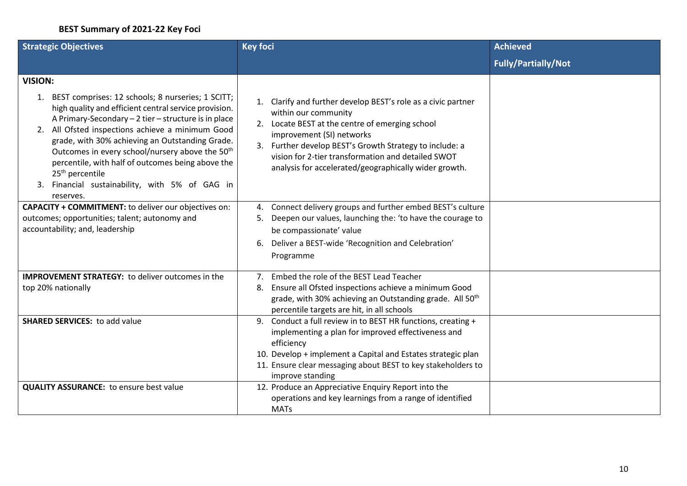### **BEST Summary of 2021-22 Key Foci**

| <b>Strategic Objectives</b>                                                                                                                                                                                                                                                                                                                                                                                                                                                                    | <b>Key foci</b>                                                                                                                                                                                                                                                                                                                              | <b>Achieved</b>            |
|------------------------------------------------------------------------------------------------------------------------------------------------------------------------------------------------------------------------------------------------------------------------------------------------------------------------------------------------------------------------------------------------------------------------------------------------------------------------------------------------|----------------------------------------------------------------------------------------------------------------------------------------------------------------------------------------------------------------------------------------------------------------------------------------------------------------------------------------------|----------------------------|
|                                                                                                                                                                                                                                                                                                                                                                                                                                                                                                |                                                                                                                                                                                                                                                                                                                                              | <b>Fully/Partially/Not</b> |
| <b>VISION:</b>                                                                                                                                                                                                                                                                                                                                                                                                                                                                                 |                                                                                                                                                                                                                                                                                                                                              |                            |
| 1. BEST comprises: 12 schools; 8 nurseries; 1 SCITT;<br>high quality and efficient central service provision.<br>A Primary-Secondary - 2 tier - structure is in place<br>2. All Ofsted inspections achieve a minimum Good<br>grade, with 30% achieving an Outstanding Grade.<br>Outcomes in every school/nursery above the 50 <sup>th</sup><br>percentile, with half of outcomes being above the<br>25 <sup>th</sup> percentile<br>3. Financial sustainability, with 5% of GAG in<br>reserves. | Clarify and further develop BEST's role as a civic partner<br>within our community<br>2. Locate BEST at the centre of emerging school<br>improvement (SI) networks<br>3. Further develop BEST's Growth Strategy to include: a<br>vision for 2-tier transformation and detailed SWOT<br>analysis for accelerated/geographically wider growth. |                            |
| <b>CAPACITY + COMMITMENT:</b> to deliver our objectives on:<br>outcomes; opportunities; talent; autonomy and<br>accountability; and, leadership                                                                                                                                                                                                                                                                                                                                                | Connect delivery groups and further embed BEST's culture<br>4.<br>Deepen our values, launching the: 'to have the courage to<br>5.<br>be compassionate' value<br>Deliver a BEST-wide 'Recognition and Celebration'<br>6.<br>Programme                                                                                                         |                            |
| <b>IMPROVEMENT STRATEGY:</b> to deliver outcomes in the<br>top 20% nationally                                                                                                                                                                                                                                                                                                                                                                                                                  | Embed the role of the BEST Lead Teacher<br>$7_{\circ}$<br>Ensure all Ofsted inspections achieve a minimum Good<br>8.<br>grade, with 30% achieving an Outstanding grade. All 50 <sup>th</sup><br>percentile targets are hit, in all schools                                                                                                   |                            |
| <b>SHARED SERVICES: to add value</b>                                                                                                                                                                                                                                                                                                                                                                                                                                                           | Conduct a full review in to BEST HR functions, creating +<br>9.<br>implementing a plan for improved effectiveness and<br>efficiency<br>10. Develop + implement a Capital and Estates strategic plan<br>11. Ensure clear messaging about BEST to key stakeholders to<br>improve standing                                                      |                            |
| <b>QUALITY ASSURANCE:</b> to ensure best value                                                                                                                                                                                                                                                                                                                                                                                                                                                 | 12. Produce an Appreciative Enquiry Report into the<br>operations and key learnings from a range of identified<br><b>MATs</b>                                                                                                                                                                                                                |                            |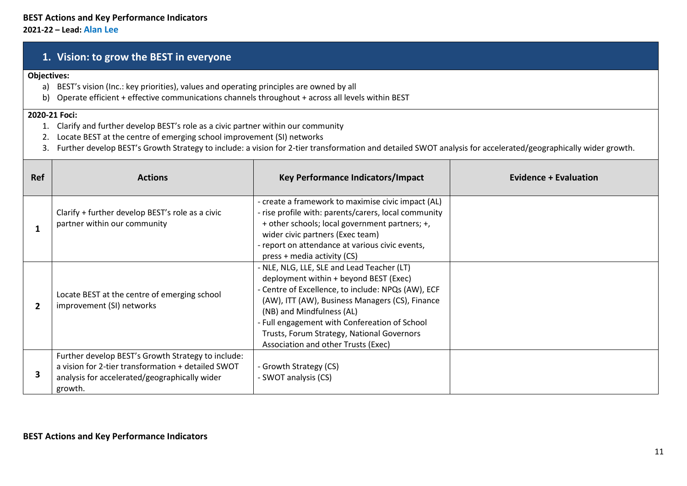### **1. Vision: to grow the BEST in everyone**

#### **Objectives:**

- a) BEST's vision (Inc.: key priorities), values and operating principles are owned by all
- b) Operate efficient + effective communications channels throughout + across all levels within BEST

#### **2020-21 Foci:**

- 1. Clarify and further develop BEST's role as a civic partner within our community
- 2. Locate BEST at the centre of emerging school improvement (SI) networks
- 3. Further develop BEST's Growth Strategy to include: a vision for 2-tier transformation and detailed SWOT analysis for accelerated/geographically wider growth.

| <b>Ref</b> | <b>Actions</b>                                                                                                                                                       | Key Performance Indicators/Impact                                                                                                                                                                                                                                                                                                                                | <b>Evidence + Evaluation</b> |
|------------|----------------------------------------------------------------------------------------------------------------------------------------------------------------------|------------------------------------------------------------------------------------------------------------------------------------------------------------------------------------------------------------------------------------------------------------------------------------------------------------------------------------------------------------------|------------------------------|
|            | Clarify + further develop BEST's role as a civic<br>partner within our community                                                                                     | - create a framework to maximise civic impact (AL)<br>- rise profile with: parents/carers, local community<br>+ other schools; local government partners; +,<br>wider civic partners (Exec team)<br>- report on attendance at various civic events,<br>press + media activity (CS)                                                                               |                              |
|            | Locate BEST at the centre of emerging school<br>improvement (SI) networks                                                                                            | - NLE, NLG, LLE, SLE and Lead Teacher (LT)<br>deployment within + beyond BEST (Exec)<br>- Centre of Excellence, to include: NPQs (AW), ECF<br>(AW), ITT (AW), Business Managers (CS), Finance<br>(NB) and Mindfulness (AL)<br>- Full engagement with Confereation of School<br>Trusts, Forum Strategy, National Governors<br>Association and other Trusts (Exec) |                              |
|            | Further develop BEST's Growth Strategy to include:<br>a vision for 2-tier transformation + detailed SWOT<br>analysis for accelerated/geographically wider<br>growth. | - Growth Strategy (CS)<br>- SWOT analysis (CS)                                                                                                                                                                                                                                                                                                                   |                              |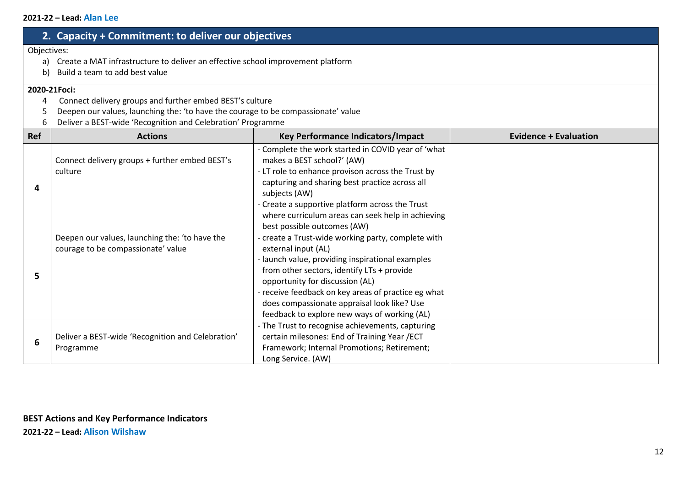# **2. Capacity + Commitment: to deliver our objectives**

#### Objectives:

- a) Create a MAT infrastructure to deliver an effective school improvement platform
- b) Build a team to add best value

#### **2020-21Foci:**

- 4 Connect delivery groups and further embed BEST's culture
- 5 Deepen our values, launching the: 'to have the courage to be compassionate' value
- 6 Deliver a BEST-wide 'Recognition and Celebration' Programme

| Ref | <b>Actions</b>                                                                       | <b>Key Performance Indicators/Impact</b>                                                                                                                                                                                                                                                                                                                             | <b>Evidence + Evaluation</b> |
|-----|--------------------------------------------------------------------------------------|----------------------------------------------------------------------------------------------------------------------------------------------------------------------------------------------------------------------------------------------------------------------------------------------------------------------------------------------------------------------|------------------------------|
| 4   | Connect delivery groups + further embed BEST's<br>culture                            | - Complete the work started in COVID year of 'what<br>makes a BEST school?' (AW)<br>- LT role to enhance provison across the Trust by<br>capturing and sharing best practice across all<br>subjects (AW)<br>- Create a supportive platform across the Trust<br>where curriculum areas can seek help in achieving<br>best possible outcomes (AW)                      |                              |
| 5   | Deepen our values, launching the: 'to have the<br>courage to be compassionate' value | - create a Trust-wide working party, complete with<br>external input (AL)<br>- launch value, providing inspirational examples<br>from other sectors, identify LTs + provide<br>opportunity for discussion (AL)<br>- receive feedback on key areas of practice eg what<br>does compassionate appraisal look like? Use<br>feedback to explore new ways of working (AL) |                              |
| 6   | Deliver a BEST-wide 'Recognition and Celebration'<br>Programme                       | - The Trust to recognise achievements, capturing<br>certain milesones: End of Training Year / ECT<br>Framework; Internal Promotions; Retirement;<br>Long Service. (AW)                                                                                                                                                                                               |                              |

**2021-22 – Lead: Alison Wilshaw**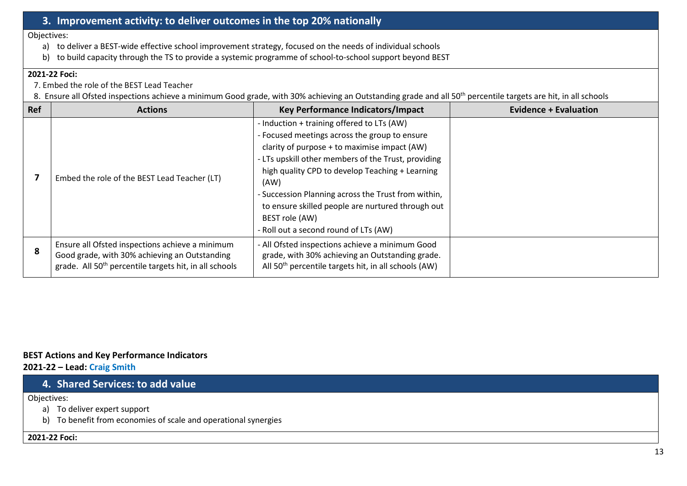# **3. Improvement activity: to deliver outcomes in the top 20% nationally**

Objectives:

- a) to deliver a BEST-wide effective school improvement strategy, focused on the needs of individual schools
- b) to build capacity through the TS to provide a systemic programme of school-to-school support beyond BEST

#### **2021-22 Foci:**

- 7. Embed the role of the BEST Lead Teacher
- 8. Ensure all Ofsted inspections achieve a minimum Good grade, with 30% achieving an Outstanding grade and all 50<sup>th</sup> percentile targets are hit, in all schools

| Ref | <b>Actions</b>                                                                                                                                                         | Key Performance Indicators/Impact                                                                                                                                                                                                                                                                                                                                                                                                    | <b>Evidence + Evaluation</b> |
|-----|------------------------------------------------------------------------------------------------------------------------------------------------------------------------|--------------------------------------------------------------------------------------------------------------------------------------------------------------------------------------------------------------------------------------------------------------------------------------------------------------------------------------------------------------------------------------------------------------------------------------|------------------------------|
|     | Embed the role of the BEST Lead Teacher (LT)                                                                                                                           | - Induction + training offered to LTs (AW)<br>- Focused meetings across the group to ensure<br>clarity of purpose + to maximise impact (AW)<br>- LTs upskill other members of the Trust, providing<br>high quality CPD to develop Teaching + Learning<br>(AW)<br>- Succession Planning across the Trust from within,<br>to ensure skilled people are nurtured through out<br>BEST role (AW)<br>- Roll out a second round of LTs (AW) |                              |
| 8   | Ensure all Ofsted inspections achieve a minimum<br>Good grade, with 30% achieving an Outstanding<br>grade. All 50 <sup>th</sup> percentile targets hit, in all schools | - All Ofsted inspections achieve a minimum Good<br>grade, with 30% achieving an Outstanding grade.<br>All 50 <sup>th</sup> percentile targets hit, in all schools (AW)                                                                                                                                                                                                                                                               |                              |

#### **BEST Actions and Key Performance Indicators 2021-22 – Lead: Craig Smith**

## **4. Shared Services: to add value**

Objectives:

- a) To deliver expert support
- b) To benefit from economies of scale and operational synergies

#### **2021-22 Foci:**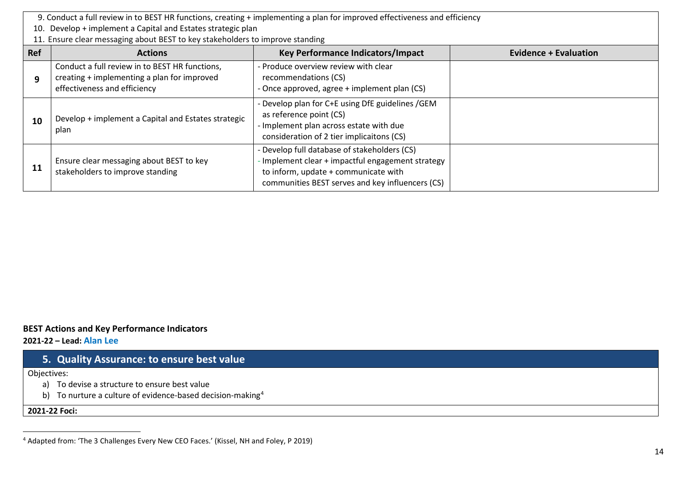<span id="page-13-0"></span>9. Conduct a full review in to BEST HR functions, creating + implementing a plan for improved effectiveness and efficiency

- 10. Develop + implement a Capital and Estates strategic plan
- 11. Ensure clear messaging about BEST to key stakeholders to improve standing

| <b>Ref</b> | <b>Actions</b>                                                                                                                | Key Performance Indicators/Impact                                                                                                                                                           | <b>Evidence + Evaluation</b> |
|------------|-------------------------------------------------------------------------------------------------------------------------------|---------------------------------------------------------------------------------------------------------------------------------------------------------------------------------------------|------------------------------|
| 9          | Conduct a full review in to BEST HR functions,<br>creating + implementing a plan for improved<br>effectiveness and efficiency | - Produce overview review with clear<br>recommendations (CS)<br>- Once approved, agree + implement plan (CS)                                                                                |                              |
| 10         | Develop + implement a Capital and Estates strategic<br>plan                                                                   | - Develop plan for C+E using DfE guidelines / GEM<br>as reference point (CS)<br>- Implement plan across estate with due<br>consideration of 2 tier implicaitons (CS)                        |                              |
| 11         | Ensure clear messaging about BEST to key<br>stakeholders to improve standing                                                  | - Develop full database of stakeholders (CS)<br>Implement clear + impactful engagement strategy<br>to inform, update + communicate with<br>communities BEST serves and key influencers (CS) |                              |

#### **BEST Actions and Key Performance Indicators**

**2021-22 – Lead: Alan Lee**

### **5. Quality Assurance: to ensure best value**

Objectives:

- a) To devise a structure to ensure best value
- b) To nurture a culture of evidence-based decision-making<sup>[4](#page-13-0)</sup>

**2021-22 Foci:**

 <sup>4</sup> Adapted from: 'The 3 Challenges Every New CEO Faces.' (Kissel, NH and Foley, P 2019)